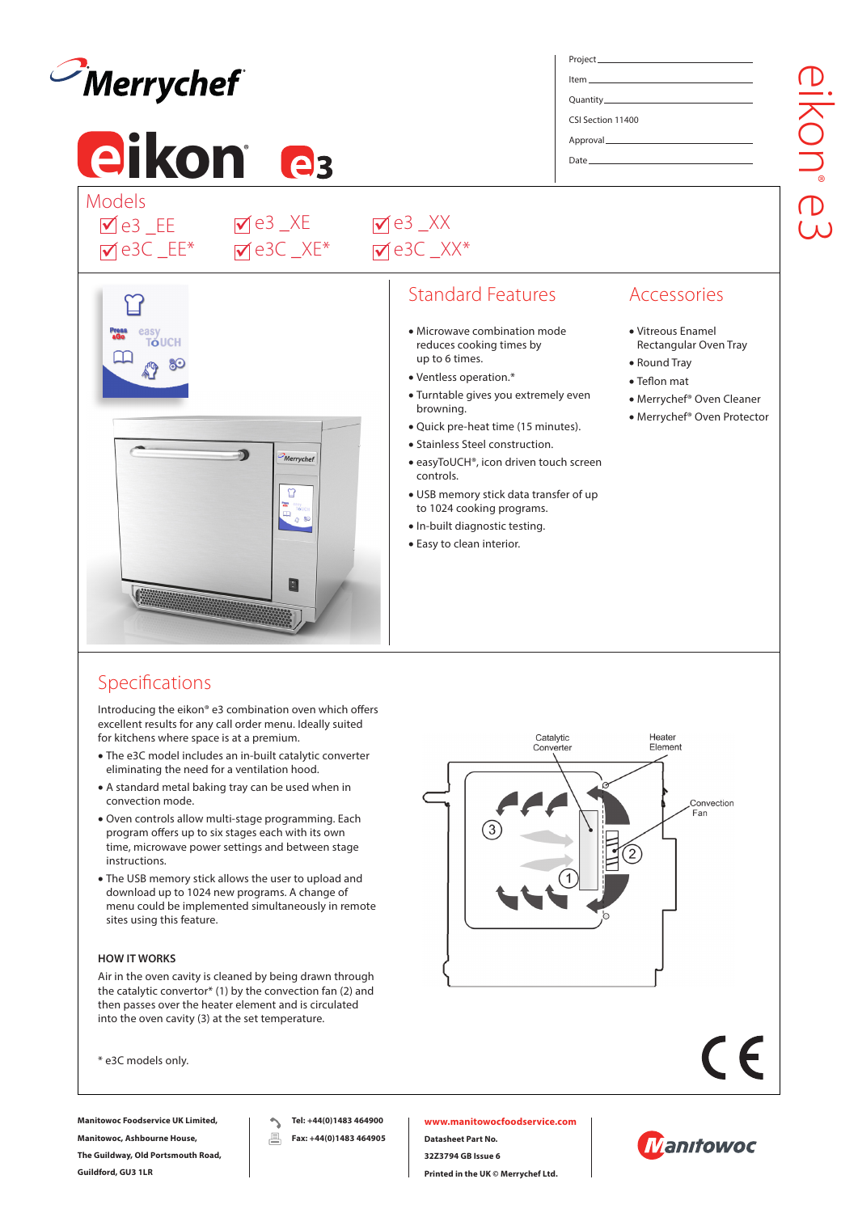

# **eikon e**<sup>3</sup> Models

e3C \_EE\* e3 \_EE ü ü

TÓLICH

e3C \_XE\* e3 \_XE ü ü

e3C \_XX\* e3 \_XX ü ü

# Standard Features

- Microwave combination mode reduces cooking times by up to 6 times.
- Ventless operation.\*
- Turntable gives you extremely even browning.
- Quick pre-heat time (15 minutes).
- Stainless Steel construction.
- easyToUCH®, icon driven touch screen controls.
- USB memory stick data transfer of up to 1024 cooking programs.
- In-built diagnostic testing.
- Easy to clean interior.

# Accessories

- Vitreous Enamel Rectangular Oven Tray
- Round Tray

Heater Flement

> Convection Fan

• Teflon mat

Project Item Quantity CSI Section 11400 Approval Date

- Merrychef® Oven Cleaner
- Merrychef® Oven Protector

# Specifications

Introducing the eikon® e3 combination oven which offers excellent results for any call order menu. Ideally suited for kitchens where space is at a premium.

 $\mathbf{D}$ 

Merrychef

 $\Box$ 

 $\overline{\cdot}$ 

- The e3C model includes an in-built catalytic converter eliminating the need for a ventilation hood.
- A standard metal baking tray can be used when in convection mode.
- Oven controls allow multi-stage programming. Each program offers up to six stages each with its own time, microwave power settings and between stage instructions.
- The USB memory stick allows the user to upload and download up to 1024 new programs. A change of menu could be implemented simultaneously in remote sites using this feature.

#### **HOW IT WORKS**

Air in the oven cavity is cleaned by being drawn through the catalytic convertor\* (1) by the convection fan (2) and then passes over the heater element and is circulated into the oven cavity (3) at the set temperature.

\* e3C models only.

**Manitowoc Foodservice UK Limited, Manitowoc, Ashbourne House, The Guildway, Old Portsmouth Road,** 

**Guildford, GU3 1LR**

Catalytic

Converter

**Tel: +44(0)1483 464900** 昌 **Fax: +44(0)1483 464905** **www.manitowocfoodservice.com Datasheet Part No. 32Z3794 GB Issue 6 Printed in the UK © Merrychef Ltd.**



 $\epsilon$ 

eikon  $\overset{\circ}{\mathbb{D}}$